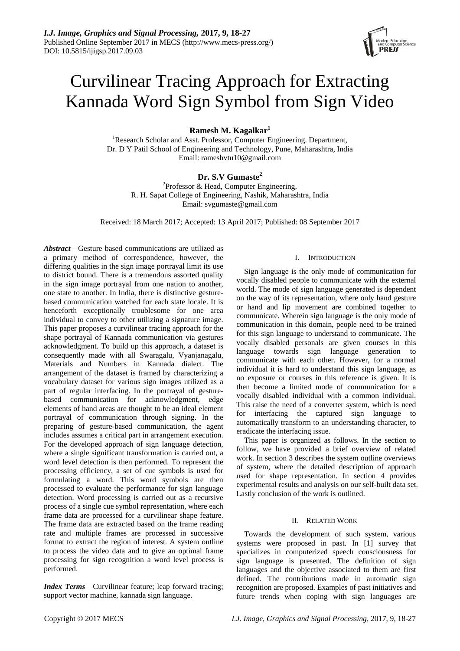

# Curvilinear Tracing Approach for Extracting Kannada Word Sign Symbol from Sign Video

**Ramesh M. Kagalkar<sup>1</sup>**

<sup>1</sup>Research Scholar and Asst. Professor, Computer Engineering. Department, Dr. D Y Patil School of Engineering and Technology, Pune, Maharashtra, India Email[: rameshvtu10@gmail.com](mailto:rameshvtu10@gmail.com)

# **Dr. S.V Gumaste<sup>2</sup>**

<sup>2</sup>Professor & Head, Computer Engineering, R. H. Sapat College of Engineering, Nashik, Maharashtra, India Email: [svgumaste@gmail.com](mailto:svgumaste@gmail.com)

Received: 18 March 2017; Accepted: 13 April 2017; Published: 08 September 2017

*Abstract*—Gesture based communications are utilized as a primary method of correspondence, however, the differing qualities in the sign image portrayal limit its use to district bound. There is a tremendous assorted quality in the sign image portrayal from one nation to another, one state to another. In India, there is distinctive gesturebased communication watched for each state locale. It is henceforth exceptionally troublesome for one area individual to convey to other utilizing a signature image. This paper proposes a curvilinear tracing approach for the shape portrayal of Kannada communication via gestures acknowledgment. To build up this approach, a dataset is consequently made with all Swaragalu, Vyanjanagalu, Materials and Numbers in Kannada dialect. The arrangement of the dataset is framed by characterizing a vocabulary dataset for various sign images utilized as a part of regular interfacing. In the portrayal of gesturebased communication for acknowledgment, edge elements of hand areas are thought to be an ideal element portrayal of communication through signing. In the preparing of gesture-based communication, the agent includes assumes a critical part in arrangement execution. For the developed approach of sign language detection, where a single significant transformation is carried out, a word level detection is then performed. To represent the processing efficiency, a set of cue symbols is used for formulating a word. This word symbols are then processed to evaluate the performance for sign language detection. Word processing is carried out as a recursive process of a single cue symbol representation, where each frame data are processed for a curvilinear shape feature. The frame data are extracted based on the frame reading rate and multiple frames are processed in successive format to extract the region of interest. A system outline to process the video data and to give an optimal frame processing for sign recognition a word level process is performed.

*Index Terms*—Curvilinear feature; leap forward tracing; support vector machine, kannada sign language.

# I. INTRODUCTION

Sign language is the only mode of communication for vocally disabled people to communicate with the external world. The mode of sign language generated is dependent on the way of its representation, where only hand gesture or hand and lip movement are combined together to communicate. Wherein sign language is the only mode of communication in this domain, people need to be trained for this sign language to understand to communicate. The vocally disabled personals are given courses in this language towards sign language generation to communicate with each other. However, for a normal individual it is hard to understand this sign language, as no exposure or courses in this reference is given. It is then become a limited mode of communication for a vocally disabled individual with a common individual. This raise the need of a converter system, which is need for interfacing the captured sign language to automatically transform to an understanding character, to eradicate the interfacing issue.

This paper is organized as follows. In the section to follow, we have provided a brief overview of related work. In section 3 describes the system outline overviews of system, where the detailed description of approach used for shape representation. In section 4 provides experimental results and analysis on our self-built data set. Lastly conclusion of the work is outlined.

# II. RELATED WORK

Towards the development of such system, various systems were proposed in past. In [1] survey that specializes in computerized speech consciousness for sign language is presented. The definition of sign languages and the objective associated to them are first defined. The contributions made in automatic sign recognition are proposed. Examples of past initiatives and future trends when coping with sign languages are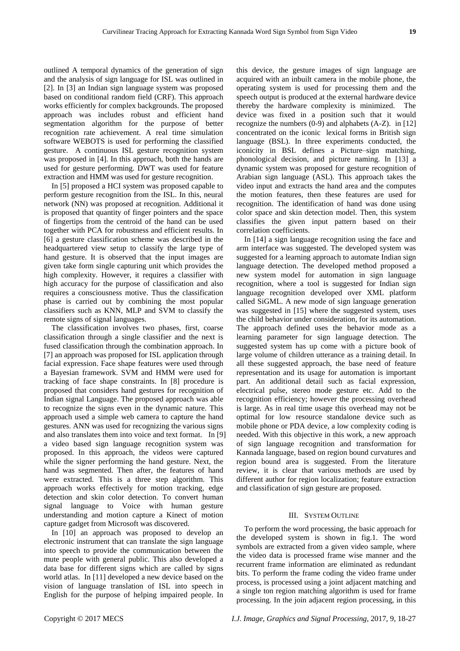outlined A temporal dynamics of the generation of sign and the analysis of sign language for ISL was outlined in [2]. In [3] an Indian sign language system was proposed based on conditional random field (CRF). This approach works efficiently for complex backgrounds. The proposed approach was includes robust and efficient hand segmentation algorithm for the purpose of better recognition rate achievement. A real time simulation software WEBOTS is used for performing the classified gesture. A continuous ISL gesture recognition system was proposed in [4]. In this approach, both the hands are used for gesture performing. DWT was used for feature extraction and HMM was used for gesture recognition.

In [5] proposed a HCI system was proposed capable to perform gesture recognition from the ISL. In this, neural network (NN) was proposed at recognition. Additional it is proposed that quantity of finger pointers and the space of fingertips from the centroid of the hand can be used together with PCA for robustness and efficient results. In [6] a gesture classification scheme was described in the headquartered view setup to classify the large type of hand gesture. It is observed that the input images are given take form single capturing unit which provides the high complexity. However, it requires a classifier with high accuracy for the purpose of classification and also requires a consciousness motive. Thus the classification phase is carried out by combining the most popular classifiers such as KNN, MLP and SVM to classify the remote signs of signal languages.

The classification involves two phases, first, coarse classification through a single classifier and the next is fused classification through the combination approach. In [7] an approach was proposed for ISL application through facial expression. Face shape features were used through a Bayesian framework. SVM and HMM were used for tracking of face shape constraints. In [8] procedure is proposed that considers hand gestures for recognition of Indian signal Language. The proposed approach was able to recognize the signs even in the dynamic nature. This approach used a simple web camera to capture the hand gestures. ANN was used for recognizing the various signs and also translates them into voice and text format. In [9] a video based sign language recognition system was proposed. In this approach, the videos were captured while the signer performing the hand gesture. Next, the hand was segmented. Then after, the features of hand were extracted. This is a three step algorithm. This approach works effectively for motion tracking, edge detection and skin color detection. To convert human signal language to Voice with human gesture understanding and motion capture a Kinect of motion capture gadget from Microsoft was discovered.

In [10] an approach was proposed to develop an electronic instrument that can translate the sign language into speech to provide the communication between the mute people with general public. This also developed a data base for different signs which are called by signs world atlas. In [11] developed a new device based on the vision of language translation of ISL into speech in English for the purpose of helping impaired people. In

this device, the gesture images of sign language are acquired with an inbuilt camera in the mobile phone, the operating system is used for processing them and the speech output is produced at the external hardware device thereby the hardware complexity is minimized. The device was fixed in a position such that it would recognize the numbers (0-9) and alphabets (A-Z). in [12] concentrated on the iconic lexical forms in British sign language (BSL). In three experiments conducted, the iconicity in BSL defines a Picture–sign matching, phonological decision, and picture naming. In [13] a dynamic system was proposed for gesture recognition of Arabian sign language (ASL). This approach takes the video input and extracts the hand area and the computes the motion features, then these features are used for recognition. The identification of hand was done using color space and skin detection model. Then, this system classifies the given input pattern based on their correlation coefficients.

In [14] a sign language recognition using the face and arm interface was suggested. The developed system was suggested for a learning approach to automate Indian sign language detection. The developed method proposed a new system model for automation in sign language recognition, where a tool is suggested for Indian sign language recognition developed over XML platform called SiGML. A new mode of sign language generation was suggested in [15] where the suggested system, uses the child behavior under consideration, for its automation. The approach defined uses the behavior mode as a learning parameter for sign language detection. The suggested system has up come with a picture book of large volume of children utterance as a training detail. In all these suggested approach, the base need of feature representation and its usage for automation is important part. An additional detail such as facial expression, electrical pulse, stereo mode gesture etc. Add to the recognition efficiency; however the processing overhead is large. As in real time usage this overhead may not be optimal for low resource standalone device such as mobile phone or PDA device, a low complexity coding is needed. With this objective in this work, a new approach of sign language recognition and transformation for Kannada language, based on region bound curvatures and region bound area is suggested. From the literature review, it is clear that various methods are used by different author for region localization; feature extraction and classification of sign gesture are proposed.

## III. SYSTEM OUTLINE

To perform the word processing, the basic approach for the developed system is shown in fig.1. The word symbols are extracted from a given video sample, where the video data is processed frame wise manner and the recurrent frame information are eliminated as redundant bits. To perform the frame coding the video frame under process, is processed using a joint adjacent matching and a single ton region matching algorithm is used for frame processing. In the join adjacent region processing, in this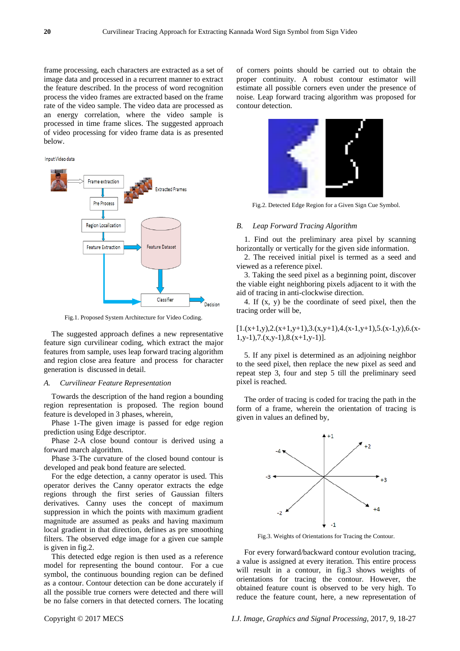frame processing, each characters are extracted as a set of image data and processed in a recurrent manner to extract the feature described. In the process of word recognition process the video frames are extracted based on the frame rate of the video sample. The video data are processed as an energy correlation, where the video sample is processed in time frame slices. The suggested approach of video processing for video frame data is as presented below.





Fig.1. Proposed System Architecture for Video Coding.

The suggested approach defines a new representative feature sign curvilinear coding, which extract the major features from sample, uses leap forward tracing algorithm and region close area feature and process for character generation is discussed in detail.

#### *A. Curvilinear Feature Representation*

Towards the description of the hand region a bounding region representation is proposed. The region bound feature is developed in 3 phases, wherein,

Phase 1-The given image is passed for edge region prediction using Edge descriptor.

Phase 2-A close bound contour is derived using a forward march algorithm.

Phase 3-The curvature of the closed bound contour is developed and peak bond feature are selected.

For the edge detection, a canny operator is used. This operator derives the Canny operator extracts the edge regions through the first series of Gaussian filters derivatives. Canny uses the concept of maximum suppression in which the points with maximum gradient magnitude are assumed as peaks and having maximum local gradient in that direction, defines as pre smoothing filters. The observed edge image for a given cue sample is given in fig.2.

This detected edge region is then used as a reference model for representing the bound contour. For a cue symbol, the continuous bounding region can be defined as a contour. Contour detection can be done accurately if all the possible true corners were detected and there will be no false corners in that detected corners. The locating of corners points should be carried out to obtain the proper continuity. A robust contour estimator will estimate all possible corners even under the presence of noise. Leap forward tracing algorithm was proposed for contour detection.



Fig.2. Detected Edge Region for a Given Sign Cue Symbol.

#### *B. Leap Forward Tracing Algorithm*

1. Find out the preliminary area pixel by scanning horizontally or vertically for the given side information.

2. The received initial pixel is termed as a seed and viewed as a reference pixel.

3. Taking the seed pixel as a beginning point, discover the viable eight neighboring pixels adjacent to it with the aid of tracing in anti-clockwise direction.

4. If (x, y) be the coordinate of seed pixel, then the tracing order will be,

 $[1.(x+1,y),2.(x+1,y+1),3.(x,y+1),4.(x-1,y+1),5.(x-1,y),6.(x-1,y))$  $1,y-1$ ,7.(x,y-1),8.(x+1,y-1)].

5. If any pixel is determined as an adjoining neighbor to the seed pixel, then replace the new pixel as seed and repeat step 3, four and step 5 till the preliminary seed pixel is reached.

The order of tracing is coded for tracing the path in the form of a frame, wherein the orientation of tracing is given in values an defined by,



Fig.3. Weights of Orientations for Tracing the Contour.

For every forward/backward contour evolution tracing, a value is assigned at every iteration. This entire process will result in a contour, in fig.3 shows weights of orientations for tracing the contour. However, the obtained feature count is observed to be very high. To reduce the feature count, here, a new representation of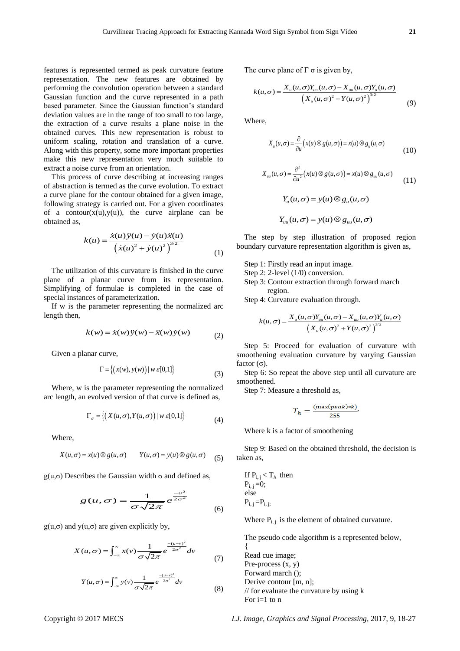features is represented termed as peak curvature feature representation. The new features are obtained by performing the convolution operation between a standard Gaussian function and the curve represented in a path based parameter. Since the Gaussian function's standard deviation values are in the range of too small to too large, the extraction of a curve results a plane noise in the obtained curves. This new representation is robust to uniform scaling, rotation and translation of a curve. Along with this property, some more important properties make this new representation very much suitable to extract a noise curve from an orientation.

This process of curve describing at increasing ranges of abstraction is termed as the curve evolution. To extract a curve plane for the contour obtained for a given image, following strategy is carried out. For a given coordinates of a contour( $x(u)$ ,  $y(u)$ ), the curve airplane can be obtained as,

$$
k(u) = \frac{\dot{x}(u)\ddot{y}(u) - \dot{y}(u)\ddot{x}(u)}{(x(u)^2 + \dot{y}(u)^2)^{3/2}}
$$
 (1)

The utilization of this curvature is finished in the curve plane of a planar curve from its representation. Simplifying of formulae is completed in the case of special instances of parameterization.

If w is the parameter representing the normalized arc length then,

$$
k(w) = \dot{x}(w)\ddot{y}(w) - \ddot{x}(w)\dot{y}(w)
$$
 (2)

Given a planar curve,

$$
\Gamma = \{(x(w), y(w)) \mid w \in [0,1]\}\tag{3}
$$

Where, w is the parameter representing the normalized arc length, an evolved version of that curve is defined as,

$$
\Gamma_{\sigma} = \left\{ \left( X(u, \sigma), Y(u, \sigma) \right) \mid w \in [0, 1] \right\}
$$
 (4)

Where,

here,  
\n
$$
X(u,\sigma) = x(u) \otimes g(u,\sigma)
$$
  $Y(u,\sigma) = y(u) \otimes g(u,\sigma)$  (5)

g(u,σ) Describes the Gaussian width  $\sigma$  and defined as,

$$
g(u,\sigma) = \frac{1}{\sigma\sqrt{2\pi}}e^{\frac{-u^2}{2\sigma^2}} \tag{6}
$$

 $g(u,\sigma)$  and  $y(u,\sigma)$  are given explicitly by,

$$
X(u,\sigma) = \int_{-\infty}^{\infty} x(v) \frac{1}{\sigma \sqrt{2\pi}} e^{-\frac{(u-v)^2}{2\sigma^2}} dv \tag{7}
$$

$$
Y(u,\sigma) = \int_{-\infty}^{\infty} y(v) \frac{1}{\sigma\sqrt{2\pi}} e^{-\frac{-(u-v)^2}{2\sigma^2}} dv
$$
 (8)

The curve plane of 
$$
\Gamma \sigma
$$
 is given by,  
\n
$$
k(u,\sigma) = \frac{X_u(u,\sigma)Y_{uu}(u,\sigma) - X_{uu}(u,\sigma)Y_u(u,\sigma)}{(X_u(u,\sigma)^2 + Y(u,\sigma)^2)^{3/2}}
$$
\n(9)

Where,

$$
X_u(u,\sigma) = \frac{\partial}{\partial u}(x(u)\otimes g(u,\sigma)) = x(u)\otimes g_u(u,\sigma)
$$
\n(10)

$$
X_{uu}(u,\sigma) = \frac{\partial^2}{\partial u^2} (x(u) \otimes g(u,\sigma)) = x(u) \otimes g_{uu}(u,\sigma)
$$
\n(11)

$$
Y_u(u,\sigma) = y(u) \otimes g_u(u,\sigma)
$$

$$
Y_{uu}(u,\sigma)=y(u)\otimes g_{uu}(u,\sigma)
$$

The step by step illustration of proposed region boundary curvature representation algorithm is given as,

- Step 1: Firstly read an input image.
- Step 2: 2-level (1/0) conversion.
- Step 3: Contour extraction through forward march region.

Step 4: Curvature evaluation through.  
\n
$$
k(u,\sigma) = \frac{X_u(u,\sigma)Y_{uu}(u,\sigma) - X_{uu}(u,\sigma)Y_u(u,\sigma)}{\left(X_u(u,\sigma)^2 + Y(u,\sigma)^2\right)^{3/2}}
$$

Step 5: Proceed for evaluation of curvature with smoothening evaluation curvature by varying Gaussian factor  $(\sigma)$ .

Step 6: So repeat the above step until all curvature are smoothened.

Step 7: Measure a threshold as,

$$
T_h = \frac{(\max(\text{peak}) * k)}{255},
$$

Where k is a factor of smoothening

Step 9: Based on the obtained threshold, the decision is taken as,

If 
$$
P_{i,j} < T_h
$$
 then  $P_{i,j} = 0$ ; else  $P_{i,j} = P_{i,j}$ ;

Where  $P_{i,i}$  is the element of obtained curvature.

The pseudo code algorithm is a represented below, { Read cue image; Pre-process  $(x, y)$ Forward march (); Derive contour [m, n]; // for evaluate the curvature by using k For  $i=1$  to  $n$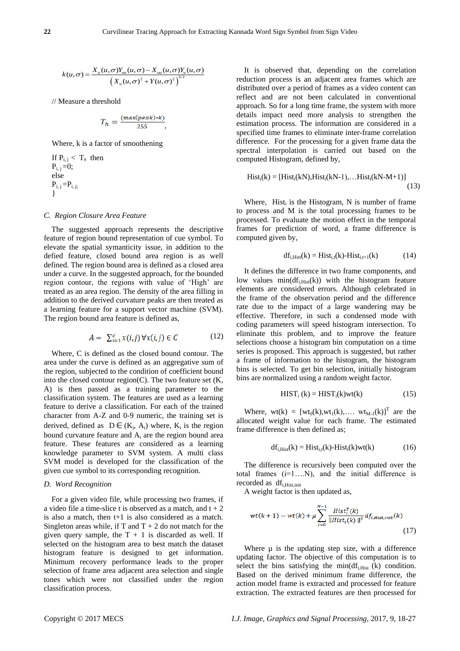$$
k(u,\sigma) = \frac{X_u(u,\sigma)Y_{uu}(u,\sigma) - X_{uu}(u,\sigma)Y_u(u,\sigma)}{\left(X_u(u,\sigma)^2 + Y(u,\sigma)^2\right)^{3/2}}
$$

// Measure a threshold

$$
T_h = \frac{(\max(\text{peak}) * k)}{255},
$$

Where, k is a factor of smoothening

If  $P_i$ ,  $\leq T_h$  then  $P_{i,i} = 0;$ else  $P_{i, j} = P_{i, j; j}$ }

## *C. Region Closure Area Feature*

The suggested approach represents the descriptive feature of region bound representation of cue symbol. To elevate the spatial symanticity issue, in addition to the defied feature, closed bound area region is as well defined. The region bound area is defined as a closed area under a curve. In the suggested approach, for the bounded region contour, the regions with value of 'High' are treated as an area region. The density of the area filling in addition to the derived curvature peaks are then treated as a learning feature for a support vector machine (SVM). The region bound area feature is defined as,

$$
A = \sum_{i=1}^{c} x(i,j) \,\forall x(i,j) \in C \tag{12}
$$

Where, C is defined as the closed bound contour. The area under the curve is defined as an aggregative sum of the region, subjected to the condition of coefficient bound into the closed contour region(C). The two feature set  $(K, \mathcal{L})$ A) is then passed as a training parameter to the classification system. The features are used as a learning feature to derive a classification. For each of the trained character from A-Z and 0-9 numeric, the training set is derived, defined as  $D \in (K_i, A_i)$  where,  $K_i$  is the region bound curvature feature and  $A_i$  are the region bound area feature. These features are considered as a learning knowledge parameter to SVM system. A multi class SVM model is developed for the classification of the given cue symbol to its corresponding recognition.

## *D. Word Recognition*

For a given video file, while processing two frames, if a video file a time-slice t is observed as a match, and  $t + 2$ is also a match, then t+1 is also considered as a match. Singleton areas while, if T and  $T + 2$  do not match for the given query sample, the  $T + 1$  is discarded as well. If selected on the histogram area to best match the dataset histogram feature is designed to get information. Minimum recovery performance leads to the proper selection of frame area adjacent area selection and single tones which were not classified under the region classification process.

It is observed that, depending on the correlation reduction process is an adjacent area frames which are distributed over a period of frames as a video content can reflect and are not been calculated in conventional approach. So for a long time frame, the system with more details impact need more analysis to strengthen the estimation process. The information are considered in a specified time frames to eliminate inter-frame correlation difference. For the processing for a given frame data the spectral interpolation is carried out based on the computed Histogram, defined by,

$$
Hist_i(k) = [Hist_i(kN), Hist_i(kN-1), \dots Hist_i(kN-M+1)]
$$
\n(13)

Where, Hist $_i$  is the Histogram, N is number of frame to process and M is the total processing frames to be processed. To evaluate the motion effect in the temporal frames for prediction of word, a frame difference is computed given by,

$$
df_{i,Hist}(k) = Hist_{i,t}(k) - Hist_{i,t+1}(k)
$$
 (14)

It defines the difference in two frame components, and low values  $min(df_{i,Hist}(k))$  with the histogram feature elements are considered errors. Although celebrated in the frame of the observation period and the difference rate due to the impact of a large wandering may be effective. Therefore, in such a condensed mode with coding parameters will speed histogram intersection. To eliminate this problem, and to improve the feature selections choose a histogram bin computation on a time series is proposed. This approach is suggested, but rather a frame of information to the histogram, the histogram bins is selected. To get bin selection, initially histogram bins are normalized using a random weight factor.

$$
HISTi (k) = HISTi(k)wt(k)
$$
 (15)

Where,  $wt(k) = [wt_0(k), wt_1(k), \dots wt_{M-1}(k)]^T$  are the allocated weight value for each frame. The estimated frame difference is then defined as;

$$
df_{i,Hist}(k) = Hist_{i,t}(k) - Hist_i(k)wt(k)
$$
 (16)

The difference is recursively been computed over the total frames (i=1….N), and the initial difference is recorded as df<sub>i.Hist.init</sub>

A weight factor is then updated as,

$$
wt(k+1) = wt(k) + \mu \sum_{i=0}^{N-1} \frac{Hist_i^T(k)}{\|Hist_i(k)\|^2} df_{i,Hist,init}(k)
$$
\n(17)

Where  $\mu$  is the updating step size, with a difference updating factor. The objective of this computation is to select the bins satisfying the min $(df<sub>i,Hist</sub> (k)$  condition. Based on the derived minimum frame difference, the action model frame is extracted and processed for feature extraction. The extracted features are then processed for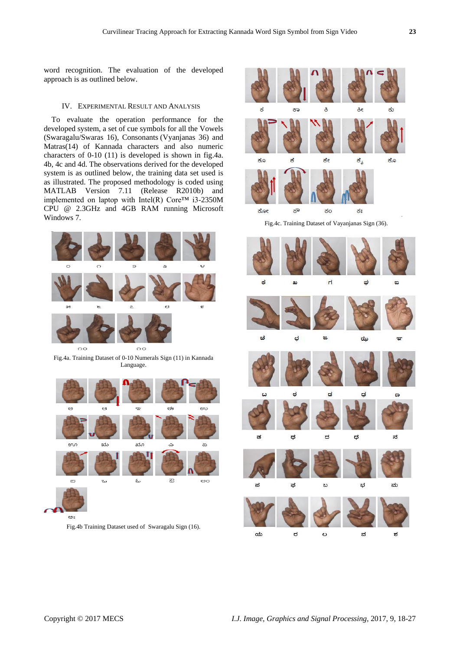word recognition. The evaluation of the developed approach is as outlined below.

## IV. EXPERIMENTAL RESULT AND ANALYSIS

To evaluate the operation performance for the developed system, a set of cue symbols for all the Vowels (Swaragalu/Swaras 16), Consonants (Vyanjanas 36) and Matras(14) of Kannada characters and also numeric characters of 0-10 (11) is developed is shown in fig.4a. 4b, 4c and 4d. The observations derived for the developed system is as outlined below, the training data set used is as illustrated. The proposed methodology is coded using MATLAB Version 7.11 (Release R2010b) and implemented on laptop with Intel(R)  $\text{Core}^{\text{TM}}$  i3-2350M CPU @ 2.3GHz and 4GB RAM running Microsoft Windows 7.



Fig.4a. Training Dataset of 0-10 Numerals Sign (11) in Kannada Language.



693

Fig.4b Training Dataset used of Swaragalu Sign (16).



Fig.4c. Training Dataset of Vayanjanas Sign (36).

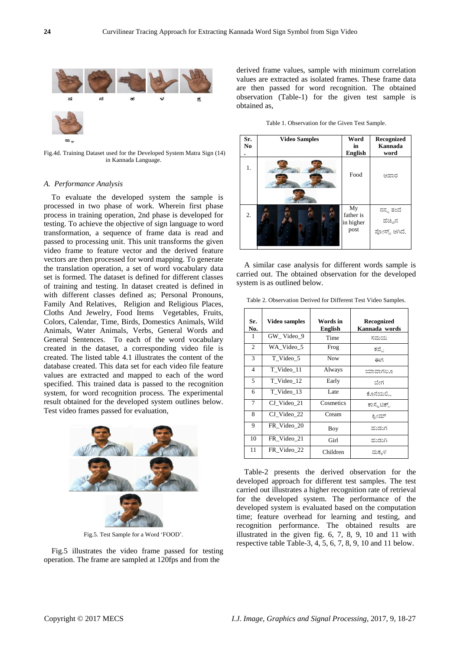

Fig.4d. Training Dataset used for the Developed System Matra Sign (14) in Kannada Language.

#### *A. Performance Analysis*

To evaluate the developed system the sample is processed in two phase of work. Wherein first phase process in training operation, 2nd phase is developed for testing. To achieve the objective of sign language to word transformation, a sequence of frame data is read and passed to processing unit. This unit transforms the given video frame to feature vector and the derived feature vectors are then processed for word mapping. To generate the translation operation, a set of word vocabulary data set is formed. The dataset is defined for different classes of training and testing. In dataset created is defined in with different classes defined as: [Personal Pronouns](https://en.wikipedia.org/wiki/English_personal_pronouns), Family And Relatives, Religion and Religious Places, Cloths And Jewelry, Food Items Vegetables, Fruits, Colors, Calendar, Time, Birds, Domestics Animals, Wild Animals, Water Animals, Verbs, General Words and General Sentences. To each of the word vocabulary created in the dataset, a corresponding video file is created. The listed table 4.1 illustrates the content of the database created. This data set for each video file feature values are extracted and mapped to each of the word specified. This trained data is passed to the recognition system, for word recognition process. The experimental result obtained for the developed system outlines below. Test video frames passed for evaluation,



Fig.5. Test Sample for a Word 'FOOD'.

Fig.5 illustrates the video frame passed for testing operation. The frame are sampled at 120fps and from the

derived frame values, sample with minimum correlation values are extracted as isolated frames. These frame data are then passed for word recognition. The obtained observation (Table-1) for the given test sample is obtained as,

Table 1. Observation for the Given Test Sample.

| Sr.<br>No | <b>Video Samples</b> | Word<br>in<br><b>English</b>         | Recognized<br>Kannada<br>word         |
|-----------|----------------------|--------------------------------------|---------------------------------------|
| 1.        |                      | Food                                 | ಆಹಾರ                                  |
| 2.        |                      | My<br>father is<br>in higher<br>post | ನನ್ನ ತಂದೆ<br>ಹೆಚ್ಚಿನ<br>ಪೋಸ್ಟ್ ಆಗಿದೆ. |

A similar case analysis for different words sample is carried out. The obtained observation for the developed system is as outlined below.

Table 2. Observation Derived for Different Test Video Samples.

| Sr.<br>No.     | <b>Video samples</b> | Words in<br><b>English</b> | Recognized<br>Kannada words |
|----------------|----------------------|----------------------------|-----------------------------|
| 1              | GW Video 9           | Time                       | ಸಮಯ                         |
| $\mathfrak{2}$ | WA Video 5           | Frog                       | ಕಪ್ಪೆ                       |
| 3              | T Video 5            | <b>Now</b>                 | ಈಗ                          |
| 4              | T Video 11           | Always                     | ಯಾವಾಗಲೂ                     |
| 5              | T Video 12           | Early                      | ಬೇಗ                         |
| 6              | T Video 13           | Late                       | ಕೊನೆಯಲ್ಲಿ                   |
| 7              | CJ Video_21          | Cosmetics                  | ಕಾಸ್ಮೆಟಿಕ್ಸ್                |
| 8              | CJ Video_22          | Cream                      | ಕ್ರೀಮ್                      |
| 9              | FR Video 20          | Boy                        | ಹುಡುಗ                       |
| 10             | FR Video 21          | Girl                       | ಹುಡುಗಿ                      |
| 11             | FR Video 22          | Children                   | ಮಕ್ಕಳ                       |

Table-2 presents the derived observation for the developed approach for different test samples. The test carried out illustrates a higher recognition rate of retrieval for the developed system. The performance of the developed system is evaluated based on the computation time; feature overhead for learning and testing, and recognition performance. The obtained results are illustrated in the given fig. 6, 7, 8, 9, 10 and 11 with respective table Table-3, 4, 5, 6, 7, 8, 9, 10 and 11 below.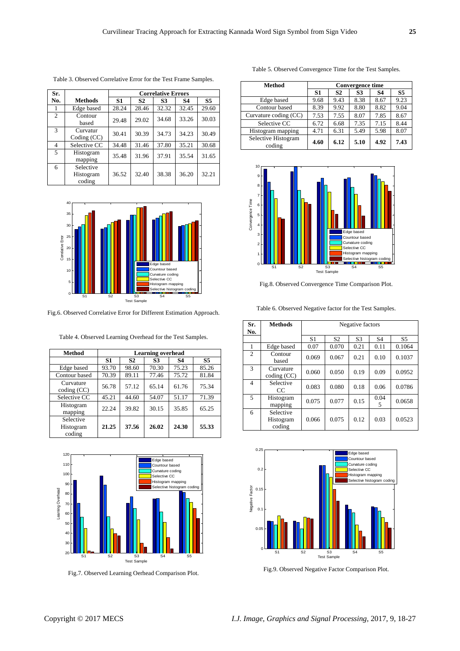| Sr.            |                                  | <b>Correlative Errors</b> |           |           |           |                |
|----------------|----------------------------------|---------------------------|-----------|-----------|-----------|----------------|
| No.            | <b>Methods</b>                   | S1                        | <b>S2</b> | <b>S3</b> | <b>S4</b> | S <sub>5</sub> |
|                | Edge based                       | 28.24                     | 28.46     | 32.32     | 32.45     | 29.60          |
| $\overline{2}$ | Contour<br>based                 | 29.48                     | 29.02     | 34.68     | 33.26     | 30.03          |
| 3              | Curvatur<br>Coding (CC)          | 30.41                     | 30.39     | 34.73     | 34.23     | 30.49          |
| 4              | Selective CC                     | 34.48                     | 31.46     | 37.80     | 35.21     | 30.68          |
| 5              | Histogram<br>mapping             | 35.48                     | 31.96     | 37.91     | 35.54     | 31.65          |
| 6              | Selective<br>Histogram<br>coding | 36.52                     | 32.40     | 38.38     | 36.20     | 32.21          |

Table 3. Observed Correlative Error for the Test Frame Samples.



Fig.6. Observed Correlative Error for Different Estimation Approach.

Table 4. Observed Learning Overhead for the Test Samples.

| <b>Method</b>                    | <b>Learning overhead</b> |           |       |       |       |  |
|----------------------------------|--------------------------|-----------|-------|-------|-------|--|
|                                  | S <sub>1</sub>           | <b>S2</b> | S3    | S4    | S5    |  |
| Edge based                       | 93.70                    | 98.60     | 70.30 | 75.23 | 85.26 |  |
| Contour based                    | 70.39                    | 89.11     | 77.46 | 75.72 | 81.84 |  |
| Curvature<br>coding (CC)         | 56.78                    | 57.12     | 65.14 | 61.76 | 75.34 |  |
| Selective CC                     | 45.21                    | 44.60     | 54.07 | 51.17 | 71.39 |  |
| Histogram<br>mapping             | 22.24                    | 39.82     | 30.15 | 35.85 | 65.25 |  |
| Selective<br>Histogram<br>coding | 21.25                    | 37.56     | 26.02 | 24.30 | 55.33 |  |



Fig.7. Observed Learning Oerhead Comparison Plot.

| Method        | Convergence time |      |      |      |      |
|---------------|------------------|------|------|------|------|
|               | S1               | S2   | 83   | S4   | S5   |
| Edge based    | 9.68             | 9.43 | 8.38 | 8.67 | 9.23 |
| Contour based | 8.39             | 9.92 | 8.80 | 8.82 | 9.04 |

Table 5. Observed Convergence Time for the Test Samples.





Fig.8. Observed Convergence Time Comparison Plot.

Table 6. Observed Negative factor for the Test Samples.

| Sr.<br>No.     | <b>Methods</b>                   | Negative factors |                |                |                |                |
|----------------|----------------------------------|------------------|----------------|----------------|----------------|----------------|
|                |                                  | S <sub>1</sub>   | S <sub>2</sub> | S <sub>3</sub> | S <sub>4</sub> | S <sub>5</sub> |
| 1              | Edge based                       | 0.07             | 0.070          | 0.21           | 0.11           | 0.1064         |
| $\mathfrak{2}$ | Contour<br>based                 | 0.069            | 0.067          | 0.21           | 0.10           | 0.1037         |
| 3              | Curvature<br>coding (CC)         | 0.060            | 0.050          | 0.19           | 0.09           | 0.0952         |
| $\overline{4}$ | Selective<br>$_{\rm CC}$         | 0.083            | 0.080          | 0.18           | 0.06           | 0.0786         |
| 5              | Histogram<br>mapping             | 0.075            | 0.077          | 0.15           | 0.04<br>5      | 0.0658         |
| 6              | Selective<br>Histogram<br>coding | 0.066            | 0.075          | 0.12           | 0.03           | 0.0523         |



Fig.9. Observed Negative Factor Comparison Plot.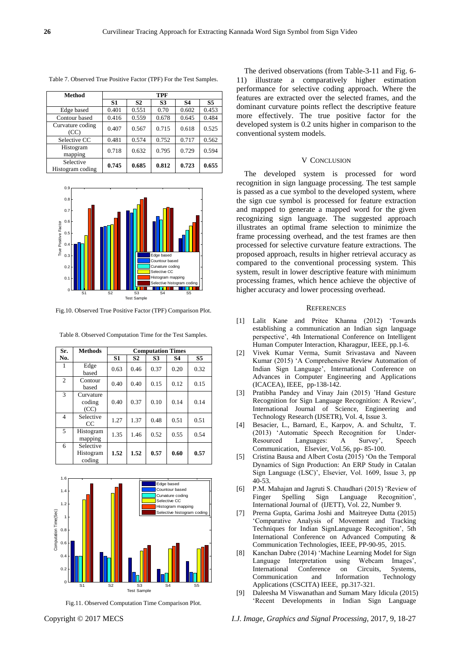| <b>Method</b>                 | <b>TPF</b>     |                |                |           |                |
|-------------------------------|----------------|----------------|----------------|-----------|----------------|
|                               | S <sub>1</sub> | S <sub>2</sub> | S <sub>3</sub> | <b>S4</b> | S <sub>5</sub> |
| Edge based                    | 0.401          | 0.551          | 0.70           | 0.602     | 0.453          |
| Contour based                 | 0.416          | 0.559          | 0.678          | 0.645     | 0.484          |
| Curvature coding<br>(CC)      | 0.407          | 0.567          | 0.715          | 0.618     | 0.525          |
| Selective CC                  | 0.481          | 0.574          | 0.752          | 0.717     | 0.562          |
| Histogram<br>mapping          | 0.718          | 0.632          | 0.795          | 0.729     | 0.594          |
| Selective<br>Histogram coding | 0.745          | 0.685          | 0.812          | 0.723     | 0.655          |

Table 7. Observed True Positive Factor (TPF) For the Test Samples.



Fig.10. Observed True Positive Factor (TPF) Comparison Plot.

| Sr.            | <b>Methods</b>                   | <b>Computation Times</b> |                |           |           |                |
|----------------|----------------------------------|--------------------------|----------------|-----------|-----------|----------------|
| No.            |                                  | S1                       | S <sub>2</sub> | <b>S3</b> | <b>S4</b> | S <sub>5</sub> |
| 1              | Edge<br>based                    | 0.63                     | 0.46           | 0.37      | 0.20      | 0.32           |
| 2              | Contour<br>based                 | 0.40                     | 0.40           | 0.15      | 0.12      | 0.15           |
| 3              | Curvature<br>coding<br>(CC)      | 0.40                     | 0.37           | 0.10      | 0.14      | 0.14           |
| $\overline{4}$ | Selective<br>CC                  | 1.27                     | 1.37           | 0.48      | 0.51      | 0.51           |
| 5              | Histogram<br>mapping             | 1.35                     | 1.46           | 0.52      | 0.55      | 0.54           |
| 6              | Selective<br>Histogram<br>coding | 1.52                     | 1.52           | 0.57      | 0.60      | 0.57           |

Table 8. Observed Computation Time for the Test Samples.



Fig.11. Observed Computation Time Comparison Plot.

The derived observations (from Table-3-11 and Fig. 6- 11) illustrate a comparatively higher estimation performance for selective coding approach. Where the features are extracted over the selected frames, and the dominant curvature points reflect the descriptive feature more effectively. The true positive factor for the developed system is 0.2 units higher in comparison to the conventional system models.

#### V CONCLUSION

The developed system is processed for word recognition in sign language processing. The test sample is passed as a cue symbol to the developed system, where the sign cue symbol is processed for feature extraction and mapped to generate a mapped word for the given recognizing sign language. The suggested approach illustrates an optimal frame selection to minimize the frame processing overhead, and the test frames are then processed for selective curvature feature extractions. The proposed approach, results in higher retrieval accuracy as compared to the conventional processing system. This system, result in lower descriptive feature with minimum processing frames, which hence achieve the objective of higher accuracy and lower processing overhead.

### **REFERENCES**

- [1] Lalit Kane and Pritee Khanna (2012) 'Towards establishing a communication an Indian sign language perspective', 4th International Conference on Intelligent Human Computer Interaction, Kharagpur, IEEE, pp.1-6.
- [2] Vivek Kumar Verma, Sumit Srivastava and Naveen Kumar (2015) 'A Comprehensive Review Automation of Indian Sign Language', International Conference on Advances in Computer Engineering and Applications (ICACEA), IEEE, pp-138-142.
- [3] Pratibha Pandey and Vinay Jain (2015) 'Hand Gesture Recognition for Sign Language Recognition: A Review', International Journal of Science, Engineering and Technology Research (IJSETR), Vol. 4, Issue 3.
- [4] Besacier, L., Barnard, E., Karpov, A. and Schultz, T. (2013) 'Automatic Speech Recognition for Under-Resourced Languages: A Survey', Speech Communication, Elsevier, Vol.56, pp- 85-100.
- [5] Cristina Bausa and Albert Costa (2015) 'On the Temporal Dynamics of Sign Production: An ERP Study in Catalan Sign Language (LSC)', Elsevier, Vol. 1609, Issue 3, pp 40-53.
- [6] P.M. Mahajan and Jagruti S. Chaudhari (2015) 'Review of Finger Spelling Sign Language Recognition', International Journal of (IJETT), Vol. 22, Number 9.
- [7] Prerna Gupta, Garima Joshi and Maitreyee Dutta (2015) 'Comparative Analysis of Movement and Tracking Techniques for Indian SignLanguage Recognition', 5th International Conference on Advanced Computing & Communication Technologies, IEEE, PP-90-95, 2015.
- [8] Kanchan Dabre (2014) 'Machine Learning Model for Sign Language Interpretation using Webcam Images', International Conference on Circuits, Systems, Communication and Information Technology Applications (CSCITA) IEEE, pp.317-321.
- [9] Daleesha M Viswanathan and Sumam Mary Idicula (2015) 'Recent Developments in Indian Sign Language